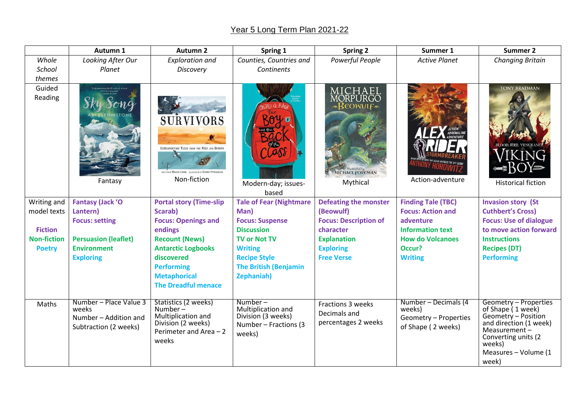## Year 5 Long Term Plan 2021-22

|                    | Autumn 1                                                                          | <b>Autumn 2</b>                                                                                                    | Spring 1                                                                                  | <b>Spring 2</b>                                                             | Summer 1                                                                      | Summer 2                                                                                                                                                                         |
|--------------------|-----------------------------------------------------------------------------------|--------------------------------------------------------------------------------------------------------------------|-------------------------------------------------------------------------------------------|-----------------------------------------------------------------------------|-------------------------------------------------------------------------------|----------------------------------------------------------------------------------------------------------------------------------------------------------------------------------|
| Whole              | Looking After Our                                                                 | <b>Exploration and</b>                                                                                             | Counties, Countries and                                                                   | Powerful People                                                             | <b>Active Planet</b>                                                          | <b>Changing Britain</b>                                                                                                                                                          |
| School             | Planet                                                                            | Discovery                                                                                                          | Continents                                                                                |                                                                             |                                                                               |                                                                                                                                                                                  |
| themes             |                                                                                   |                                                                                                                    |                                                                                           |                                                                             |                                                                               |                                                                                                                                                                                  |
| Guided<br>Reading  | Fantasy                                                                           | <b>SURVIVORS</b><br>EXTRAORDINARY TALES FROM THE WILD AND BEYOND<br>Non-fiction                                    | LL Q. RAN<br>Modern-day; issues-<br>based                                                 | MICHAEL<br>MORPURGO<br><b>BEOWULF</b><br><b>MICHAEL FOREMAN</b><br>Mythical | HUNY HOROW<br>Action-adventure                                                | <b>TONY BRADMAN</b><br><b>FIRE VENGEA</b><br><b>Historical fiction</b>                                                                                                           |
| Writing and        | <b>Fantasy (Jack 'O</b>                                                           | <b>Portal story (Time-slip</b>                                                                                     | <b>Tale of Fear (Nightmare</b>                                                            | <b>Defeating the monster</b>                                                | <b>Finding Tale (TBC)</b>                                                     | <b>Invasion story (St</b>                                                                                                                                                        |
| model texts        | Lantern)                                                                          | Scarab)                                                                                                            | Man)                                                                                      | (Beowulf)                                                                   | <b>Focus: Action and</b>                                                      | <b>Cuthbert's Cross)</b>                                                                                                                                                         |
|                    | <b>Focus: setting</b>                                                             | <b>Focus: Openings and</b>                                                                                         | <b>Focus: Suspense</b>                                                                    | <b>Focus: Description of</b>                                                | adventure                                                                     | <b>Focus: Use of dialogue</b>                                                                                                                                                    |
| <b>Fiction</b>     |                                                                                   | endings                                                                                                            | <b>Discussion</b>                                                                         | character                                                                   | <b>Information text</b>                                                       | to move action forward                                                                                                                                                           |
| <b>Non-fiction</b> | <b>Persuasion (leaflet)</b>                                                       | <b>Recount (News)</b>                                                                                              | <b>TV or Not TV</b>                                                                       | <b>Explanation</b>                                                          | <b>How do Volcanoes</b>                                                       | <b>Instructions</b>                                                                                                                                                              |
| <b>Poetry</b>      | <b>Environment</b>                                                                | <b>Antarctic Logbooks</b>                                                                                          | <b>Writing</b>                                                                            | <b>Exploring</b>                                                            | Occur?                                                                        | <b>Recipes (DT)</b>                                                                                                                                                              |
|                    | <b>Exploring</b>                                                                  | discovered                                                                                                         | <b>Recipe Style</b>                                                                       | <b>Free Verse</b>                                                           | <b>Writing</b>                                                                | <b>Performing</b>                                                                                                                                                                |
|                    |                                                                                   | <b>Performing</b><br><b>Metaphorical</b><br><b>The Dreadful menace</b>                                             | <b>The British (Benjamin</b><br><b>Zephaniah)</b>                                         |                                                                             |                                                                               |                                                                                                                                                                                  |
| Maths              | Number - Place Value 3<br>weeks<br>Number - Addition and<br>Subtraction (2 weeks) | Statistics (2 weeks)<br>Number $-$<br>Multiplication and<br>Division (2 weeks)<br>Perimeter and Area $-2$<br>weeks | $Number-$<br>Multiplication and<br>Division (3 weeks)<br>Number - Fractions (3)<br>weeks) | <b>Fractions 3 weeks</b><br>Decimals and<br>percentages 2 weeks             | Number - Decimals (4<br>weeks)<br>Geometry - Properties<br>of Shape (2 weeks) | Geometry - Properties<br>of Shape (1 week)<br>Geometry - Position<br>and direction (1 week)<br>Measurement $-$<br>Converting units (2<br>weeks)<br>Measures - Volume (1<br>week) |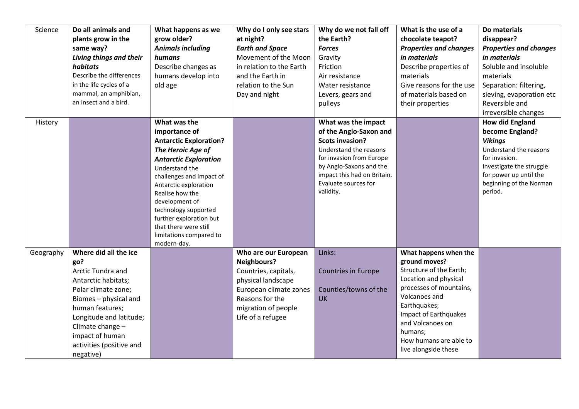| Science   | Do all animals and       | What happens as we                     | Why do I only see stars  | Why do we not fall off      | What is the use of a          | Do materials                  |
|-----------|--------------------------|----------------------------------------|--------------------------|-----------------------------|-------------------------------|-------------------------------|
|           | plants grow in the       | grow older?                            | at night?                | the Earth?                  | chocolate teapot?             | disappear?                    |
|           | same way?                | <b>Animals including</b>               | <b>Earth and Space</b>   | <b>Forces</b>               | <b>Properties and changes</b> | <b>Properties and changes</b> |
|           | Living things and their  | humans                                 | Movement of the Moon     | Gravity                     | in materials                  | in materials                  |
|           | habitats                 | Describe changes as                    | in relation to the Earth | Friction                    | Describe properties of        | Soluble and insoluble         |
|           | Describe the differences | humans develop into                    | and the Earth in         | Air resistance              | materials                     | materials                     |
|           | in the life cycles of a  | old age                                | relation to the Sun      | Water resistance            | Give reasons for the use      | Separation: filtering,        |
|           | mammal, an amphibian,    |                                        | Day and night            | Levers, gears and           | of materials based on         | sieving, evaporation etc      |
|           | an insect and a bird.    |                                        |                          | pulleys                     | their properties              | Reversible and                |
|           |                          |                                        |                          |                             |                               | irreversible changes          |
| History   |                          | What was the                           |                          | What was the impact         |                               | <b>How did England</b>        |
|           |                          | importance of                          |                          | of the Anglo-Saxon and      |                               | become England?               |
|           |                          | <b>Antarctic Exploration?</b>          |                          | <b>Scots invasion?</b>      |                               | <b>Vikings</b>                |
|           |                          | The Heroic Age of                      |                          | Understand the reasons      |                               | Understand the reasons        |
|           |                          | <b>Antarctic Exploration</b>           |                          | for invasion from Europe    |                               | for invasion.                 |
|           |                          | Understand the                         |                          | by Anglo-Saxons and the     |                               | Investigate the struggle      |
|           |                          | challenges and impact of               |                          | impact this had on Britain. |                               | for power up until the        |
|           |                          | Antarctic exploration                  |                          | Evaluate sources for        |                               | beginning of the Norman       |
|           |                          | Realise how the                        |                          | validity.                   |                               | period.                       |
|           |                          | development of                         |                          |                             |                               |                               |
|           |                          | technology supported                   |                          |                             |                               |                               |
|           |                          | further exploration but                |                          |                             |                               |                               |
|           |                          | that there were still                  |                          |                             |                               |                               |
|           |                          | limitations compared to<br>modern-day. |                          |                             |                               |                               |
| Geography | Where did all the ice    |                                        | Who are our European     | Links:                      | What happens when the         |                               |
|           | go?                      |                                        | <b>Neighbours?</b>       |                             | ground moves?                 |                               |
|           | Arctic Tundra and        |                                        | Countries, capitals,     | <b>Countries in Europe</b>  | Structure of the Earth;       |                               |
|           | Antarctic habitats;      |                                        | physical landscape       |                             | Location and physical         |                               |
|           | Polar climate zone;      |                                        | European climate zones   | Counties/towns of the       | processes of mountains,       |                               |
|           | Biomes - physical and    |                                        | Reasons for the          | <b>UK</b>                   | Volcanoes and                 |                               |
|           | human features;          |                                        | migration of people      |                             | Earthquakes;                  |                               |
|           | Longitude and latitude;  |                                        | Life of a refugee        |                             | Impact of Earthquakes         |                               |
|           | Climate change -         |                                        |                          |                             | and Volcanoes on              |                               |
|           | impact of human          |                                        |                          |                             | humans;                       |                               |
|           |                          |                                        |                          |                             | How humans are able to        |                               |
|           | activities (positive and |                                        |                          |                             | live alongside these          |                               |
|           | negative)                |                                        |                          |                             |                               |                               |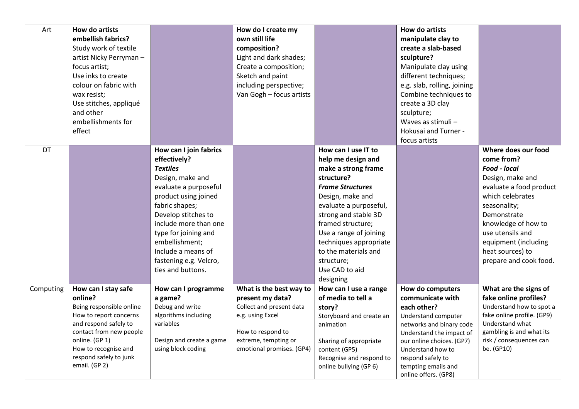| Art       | <b>How do artists</b>                            |                          | How do I create my                        |                                         | How do artists                                        |                                                     |
|-----------|--------------------------------------------------|--------------------------|-------------------------------------------|-----------------------------------------|-------------------------------------------------------|-----------------------------------------------------|
|           | embellish fabrics?                               |                          | own still life                            |                                         | manipulate clay to                                    |                                                     |
|           | Study work of textile                            |                          | composition?                              |                                         | create a slab-based                                   |                                                     |
|           | artist Nicky Perryman-                           |                          | Light and dark shades;                    |                                         | sculpture?                                            |                                                     |
|           | focus artist;                                    |                          | Create a composition;                     |                                         | Manipulate clay using                                 |                                                     |
|           | Use inks to create                               |                          | Sketch and paint                          |                                         | different techniques;                                 |                                                     |
|           | colour on fabric with                            |                          | including perspective;                    |                                         | e.g. slab, rolling, joining                           |                                                     |
|           | wax resist;                                      |                          | Van Gogh - focus artists                  |                                         | Combine techniques to                                 |                                                     |
|           | Use stitches, appliqué                           |                          |                                           |                                         | create a 3D clay                                      |                                                     |
|           | and other                                        |                          |                                           |                                         | sculpture;                                            |                                                     |
|           | embellishments for                               |                          |                                           |                                         | Waves as stimuli -                                    |                                                     |
|           | effect                                           |                          |                                           |                                         | Hokusai and Turner -                                  |                                                     |
|           |                                                  |                          |                                           |                                         | focus artists                                         |                                                     |
| DT        |                                                  | How can I join fabrics   |                                           | How can I use IT to                     |                                                       | Where does our food                                 |
|           |                                                  | effectively?             |                                           | help me design and                      |                                                       | come from?                                          |
|           |                                                  | <b>Textiles</b>          |                                           | make a strong frame                     |                                                       | Food - local                                        |
|           |                                                  | Design, make and         |                                           | structure?                              |                                                       | Design, make and                                    |
|           |                                                  | evaluate a purposeful    |                                           | <b>Frame Structures</b>                 |                                                       | evaluate a food product                             |
|           |                                                  | product using joined     |                                           | Design, make and                        |                                                       | which celebrates                                    |
|           |                                                  | fabric shapes;           |                                           | evaluate a purposeful,                  |                                                       | seasonality;                                        |
|           |                                                  | Develop stitches to      |                                           | strong and stable 3D                    |                                                       | Demonstrate                                         |
|           |                                                  | include more than one    |                                           | framed structure;                       |                                                       | knowledge of how to                                 |
|           |                                                  | type for joining and     |                                           | Use a range of joining                  |                                                       | use utensils and                                    |
|           |                                                  | embellishment;           |                                           | techniques appropriate                  |                                                       | equipment (including                                |
|           |                                                  | Include a means of       |                                           | to the materials and                    |                                                       | heat sources) to                                    |
|           |                                                  | fastening e.g. Velcro,   |                                           | structure;                              |                                                       | prepare and cook food.                              |
|           |                                                  | ties and buttons.        |                                           | Use CAD to aid                          |                                                       |                                                     |
|           |                                                  |                          |                                           | designing                               |                                                       |                                                     |
| Computing | How can I stay safe                              | How can I programme      | What is the best way to                   | How can I use a range                   | How do computers                                      | What are the signs of                               |
|           | online?                                          | a game?                  | present my data?                          | of media to tell a                      | communicate with                                      | fake online profiles?                               |
|           | Being responsible online                         | Debug and write          | Collect and present data                  | story?                                  | each other?                                           | Understand how to spot a                            |
|           | How to report concerns                           | algorithms including     | e.g. using Excel                          | Storyboard and create an                | Understand computer                                   | fake online profile. (GP9)                          |
|           | and respond safely to<br>contact from new people | variables                |                                           | animation                               | networks and binary code                              | Understand what                                     |
|           | online. (GP 1)                                   | Design and create a game | How to respond to<br>extreme, tempting or |                                         | Understand the impact of<br>our online choices. (GP7) | gambling is and what its<br>risk / consequences can |
|           | How to recognise and                             | using block coding       | emotional promises. (GP4)                 | Sharing of appropriate<br>content (GP5) | Understand how to                                     | be. (GP10)                                          |
|           | respond safely to junk                           |                          |                                           | Recognise and respond to                | respond safely to                                     |                                                     |
|           | email. (GP 2)                                    |                          |                                           | online bullying (GP 6)                  | tempting emails and                                   |                                                     |
|           |                                                  |                          |                                           |                                         | online offers. (GP8)                                  |                                                     |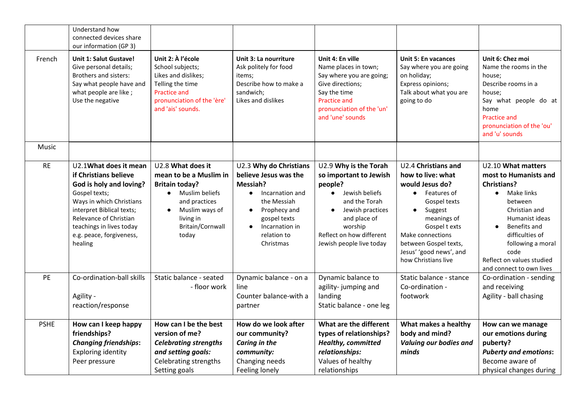|             | Understand how<br>connected devices share<br>our information (GP 3)                                                                                                                                                                              |                                                                                                                                                                                               |                                                                                                                                                                                          |                                                                                                                                                                                                                     |                                                                                                                                                                                                                                                     |                                                                                                                                                                                                                                                        |
|-------------|--------------------------------------------------------------------------------------------------------------------------------------------------------------------------------------------------------------------------------------------------|-----------------------------------------------------------------------------------------------------------------------------------------------------------------------------------------------|------------------------------------------------------------------------------------------------------------------------------------------------------------------------------------------|---------------------------------------------------------------------------------------------------------------------------------------------------------------------------------------------------------------------|-----------------------------------------------------------------------------------------------------------------------------------------------------------------------------------------------------------------------------------------------------|--------------------------------------------------------------------------------------------------------------------------------------------------------------------------------------------------------------------------------------------------------|
| French      | <b>Unit 1: Salut Gustave!</b><br>Give personal details;<br>Brothers and sisters:<br>Say what people have and<br>what people are like;<br>Use the negative                                                                                        | Unit 2: À l'école<br>School subjects;<br>Likes and dislikes;<br>Telling the time<br><b>Practice and</b><br>pronunciation of the 'ère'<br>and 'ais' sounds.                                    | Unit 3: La nourriture<br>Ask politely for food<br>items;<br>Describe how to make a<br>sandwich;<br>Likes and dislikes                                                                    | Unit 4: En ville<br>Name places in town;<br>Say where you are going;<br>Give directions;<br>Say the time<br><b>Practice and</b><br>pronunciation of the 'un'<br>and 'une' sounds                                    | <b>Unit 5: En vacances</b><br>Say where you are going<br>on holiday;<br>Express opinions;<br>Talk about what you are<br>going to do                                                                                                                 | Unit 6: Chez moi<br>Name the rooms in the<br>house:<br>Describe rooms in a<br>house:<br>Say what people do at<br>home<br><b>Practice and</b><br>pronunciation of the 'ou'<br>and 'u' sounds                                                            |
| Music       |                                                                                                                                                                                                                                                  |                                                                                                                                                                                               |                                                                                                                                                                                          |                                                                                                                                                                                                                     |                                                                                                                                                                                                                                                     |                                                                                                                                                                                                                                                        |
| <b>RE</b>   | U2.1What does it mean<br>if Christians believe<br>God is holy and loving?<br>Gospel texts;<br>Ways in which Christians<br>interpret Biblical texts;<br>Relevance of Christian<br>teachings in lives today<br>e.g. peace, forgiveness,<br>healing | U2.8 What does it<br>mean to be a Muslim in<br><b>Britain today?</b><br>Muslim beliefs<br>$\bullet$<br>and practices<br>Muslim ways of<br>$\bullet$<br>living in<br>Britain/Cornwall<br>today | U2.3 Why do Christians<br>believe Jesus was the<br>Messiah?<br>Incarnation and<br>the Messiah<br>Prophecy and<br>$\bullet$<br>gospel texts<br>Incarnation in<br>relation to<br>Christmas | U2.9 Why is the Torah<br>so important to Jewish<br>people?<br>• Jewish beliefs<br>and the Torah<br>Jewish practices<br>$\bullet$<br>and place of<br>worship<br>Reflect on how different<br>Jewish people live today | U2.4 Christians and<br>how to live: what<br>would Jesus do?<br>• Features of<br>Gospel texts<br>Suggest<br>$\bullet$<br>meanings of<br>Gospel t exts<br>Make connections<br>between Gospel texts,<br>Jesus' 'good news', and<br>how Christians live | U2.10 What matters<br>most to Humanists and<br><b>Christians?</b><br>Make links<br>between<br>Christian and<br>Humanist ideas<br>Benefits and<br>difficulties of<br>following a moral<br>code<br>Reflect on values studied<br>and connect to own lives |
| PE          | Co-ordination-ball skills<br>Agility -<br>reaction/response                                                                                                                                                                                      | Static balance - seated<br>- floor work                                                                                                                                                       | Dynamic balance - on a<br>line<br>Counter balance-with a<br>partner                                                                                                                      | Dynamic balance to<br>agility-jumping and<br>landing<br>Static balance - one leg                                                                                                                                    | Static balance - stance<br>Co-ordination -<br>footwork                                                                                                                                                                                              | Co-ordination - sending<br>and receiving<br>Agility - ball chasing                                                                                                                                                                                     |
| <b>PSHE</b> | How can I keep happy<br>friendships?<br><b>Changing friendships:</b><br><b>Exploring identity</b><br>Peer pressure                                                                                                                               | How can I be the best<br>version of me?<br><b>Celebrating strengths</b><br>and setting goals:<br>Celebrating strengths<br>Setting goals                                                       | How do we look after<br>our community?<br>Caring in the<br>community:<br>Changing needs<br>Feeling lonely                                                                                | What are the different<br>types of relationships?<br><b>Healthy, committed</b><br>relationships:<br>Values of healthy<br>relationships                                                                              | What makes a healthy<br>body and mind?<br>Valuing our bodies and<br>minds                                                                                                                                                                           | How can we manage<br>our emotions during<br>puberty?<br><b>Puberty and emotions:</b><br>Become aware of<br>physical changes during                                                                                                                     |